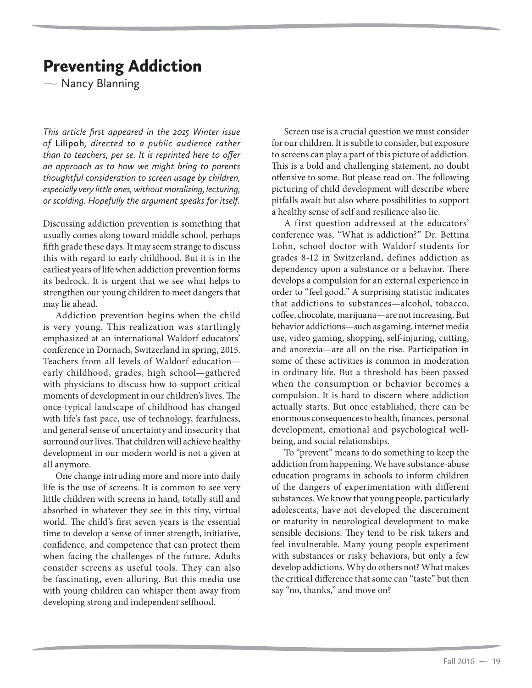## Preventing Addiction

 $\overline{\phantom{0}}$ Nancy Blanning

*This article first appeared in the 2015 Winter issue of* **Lilipoh***, directed to a public audience rather than to teachers, per se. It is reprinted here to offer an approach as to how we might bring to parents thoughtful consideration to screen usage by children, especially very little ones, without moralizing, lecturing, or scolding. Hopefully the argument speaks for itself.*

Discussing addiction prevention is something that usually comes along toward middle school, perhaps fifth grade these days. It may seem strange to discuss this with regard to early childhood. But it is in the earliest years of life when addiction prevention forms its bedrock. It is urgent that we see what helps to strengthen our young children to meet dangers that may lie ahead.

Addiction prevention begins when the child is very young. This realization was startlingly emphasized at an international Waldorf educators' conference in Dornach, Switzerland in spring, 2015. Teachers from all levels of Waldorf education early childhood, grades, high school—gathered with physicians to discuss how to support critical moments of development in our children's lives. The once-typical landscape of childhood has changed with life's fast pace, use of technology, fearfulness, and general sense of uncertainty and insecurity that surround our lives. That children will achieve healthy development in our modern world is not a given at all anymore.

One change intruding more and more into daily life is the use of screens. It is common to see very little children with screens in hand, totally still and absorbed in whatever they see in this tiny, virtual world. The child's first seven years is the essential time to develop a sense of inner strength, initiative, confidence, and competence that can protect them when facing the challenges of the future. Adults consider screens as useful tools. They can also be fascinating, even alluring. But this media use with young children can whisper them away from developing strong and independent selfhood.

Screen use is a crucial question we must consider for our children. It is subtle to consider, but exposure to screens can play a part of this picture of addiction. This is a bold and challenging statement, no doubt offensive to some. But please read on. The following picturing of child development will describe where pitfalls await but also where possibilities to support a healthy sense of self and resilience also lie.

A first question addressed at the educators' conference was, "What is addiction?" Dr. Bettina Lohn, school doctor with Waldorf students for grades 8-12 in Switzerland, defines addiction as dependency upon a substance or a behavior. There develops a compulsion for an external experience in order to "feel good." A surprising statistic indicates that addictions to substances—alcohol, tobacco, coffee, chocolate, marijuana—are not increasing. But behavior addictions—such as gaming, internet media use, video gaming, shopping, self-injuring, cutting, and anorexia—are all on the rise. Participation in some of these activities is common in moderation in ordinary life. But a threshold has been passed when the consumption or behavior becomes a compulsion. It is hard to discern where addiction actually starts. But once established, there can be enormous consequences to health, finances, personal development, emotional and psychological wellbeing, and social relationships.

To "prevent" means to do something to keep the addiction from happening. We have substance-abuse education programs in schools to inform children of the dangers of experimentation with different substances. We know that young people, particularly adolescents, have not developed the discernment or maturity in neurological development to make sensible decisions. They tend to be risk takers and feel invulnerable. Many young people experiment with substances or risky behaviors, but only a few develop addictions. Why do others not? What makes the critical difference that some can "taste" but then say "no, thanks," and move on?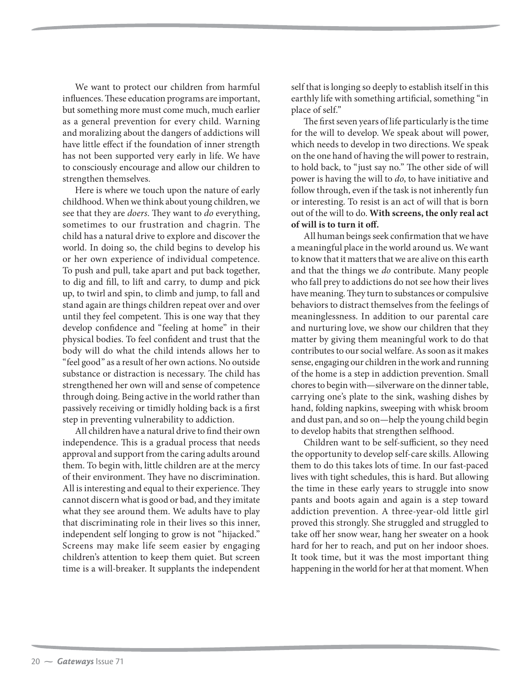We want to protect our children from harmful influences. These education programs are important, but something more must come much, much earlier as a general prevention for every child. Warning and moralizing about the dangers of addictions will have little effect if the foundation of inner strength has not been supported very early in life. We have to consciously encourage and allow our children to strengthen themselves.

Here is where we touch upon the nature of early childhood. When we think about young children, we see that they are *doers*. They want to *do* everything, sometimes to our frustration and chagrin. The child has a natural drive to explore and discover the world. In doing so, the child begins to develop his or her own experience of individual competence. To push and pull, take apart and put back together, to dig and fill, to lift and carry, to dump and pick up, to twirl and spin, to climb and jump, to fall and stand again are things children repeat over and over until they feel competent. This is one way that they develop confidence and "feeling at home" in their physical bodies. To feel confident and trust that the body will do what the child intends allows her to "feel good" as a result of her own actions. No outside substance or distraction is necessary. The child has strengthened her own will and sense of competence through doing. Being active in the world rather than passively receiving or timidly holding back is a first step in preventing vulnerability to addiction.

All children have a natural drive to find their own independence. This is a gradual process that needs approval and support from the caring adults around them. To begin with, little children are at the mercy of their environment. They have no discrimination. All is interesting and equal to their experience. They cannot discern what is good or bad, and they imitate what they see around them. We adults have to play that discriminating role in their lives so this inner, independent self longing to grow is not "hijacked." Screens may make life seem easier by engaging children's attention to keep them quiet. But screen time is a will-breaker. It supplants the independent

self that is longing so deeply to establish itself in this earthly life with something artificial, something "in place of self."

The first seven years of life particularly is the time for the will to develop. We speak about will power, which needs to develop in two directions. We speak on the one hand of having the will power to restrain, to hold back, to "just say no." The other side of will power is having the will to do, to have initiative and follow through, even if the task is not inherently fun or interesting. To resist is an act of will that is born out of the will to do. **With screens, the only real act of will is to turn it off.** 

All human beings seek confirmation that we have a meaningful place in the world around us. We want to know that it matters that we are alive on this earth and that the things we do contribute. Many people who fall prey to addictions do not see how their lives have meaning. They turn to substances or compulsive behaviors to distract themselves from the feelings of meaninglessness. In addition to our parental care and nurturing love, we show our children that they matter by giving them meaningful work to do that contributes to our social welfare. As soon as it makes sense, engaging our children in the work and running of the home is a step in addiction prevention. Small chores to begin with—silverware on the dinner table, carrying one's plate to the sink, washing dishes by hand, folding napkins, sweeping with whisk broom and dust pan, and so on—help the young child begin to develop habits that strengthen selfhood.

Children want to be self-sufficient, so they need the opportunity to develop self-care skills. Allowing them to do this takes lots of time. In our fast-paced lives with tight schedules, this is hard. But allowing the time in these early years to struggle into snow pants and boots again and again is a step toward addiction prevention. A three-year-old little girl proved this strongly. She struggled and struggled to take off her snow wear, hang her sweater on a hook hard for her to reach, and put on her indoor shoes. It took time, but it was the most important thing happening in the world for her at that moment. When